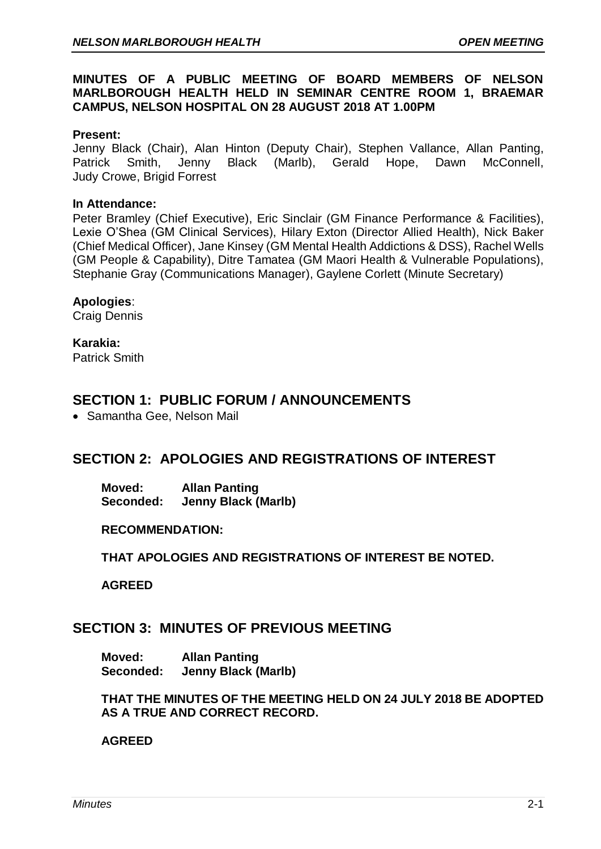### **MINUTES OF A PUBLIC MEETING OF BOARD MEMBERS OF NELSON MARLBOROUGH HEALTH HELD IN SEMINAR CENTRE ROOM 1, BRAEMAR CAMPUS, NELSON HOSPITAL ON 28 AUGUST 2018 AT 1.00PM**

#### **Present:**

Jenny Black (Chair), Alan Hinton (Deputy Chair), Stephen Vallance, Allan Panting, Patrick Smith, Jenny Black (Marlb), Gerald Hope, Dawn McConnell, Judy Crowe, Brigid Forrest

#### **In Attendance:**

Peter Bramley (Chief Executive), Eric Sinclair (GM Finance Performance & Facilities), Lexie O'Shea (GM Clinical Services), Hilary Exton (Director Allied Health), Nick Baker (Chief Medical Officer), Jane Kinsey (GM Mental Health Addictions & DSS), Rachel Wells (GM People & Capability), Ditre Tamatea (GM Maori Health & Vulnerable Populations), Stephanie Gray (Communications Manager), Gaylene Corlett (Minute Secretary)

#### **Apologies**:

Craig Dennis

### **Karakia:**

Patrick Smith

## **SECTION 1: PUBLIC FORUM / ANNOUNCEMENTS**

• Samantha Gee, Nelson Mail

## **SECTION 2: APOLOGIES AND REGISTRATIONS OF INTEREST**

**Moved: Allan Panting Seconded: Jenny Black (Marlb)**

#### **RECOMMENDATION:**

**THAT APOLOGIES AND REGISTRATIONS OF INTEREST BE NOTED.**

**AGREED**

## **SECTION 3: MINUTES OF PREVIOUS MEETING**

**Moved: Allan Panting Seconded: Jenny Black (Marlb)**

**THAT THE MINUTES OF THE MEETING HELD ON 24 JULY 2018 BE ADOPTED AS A TRUE AND CORRECT RECORD.**

### **AGREED**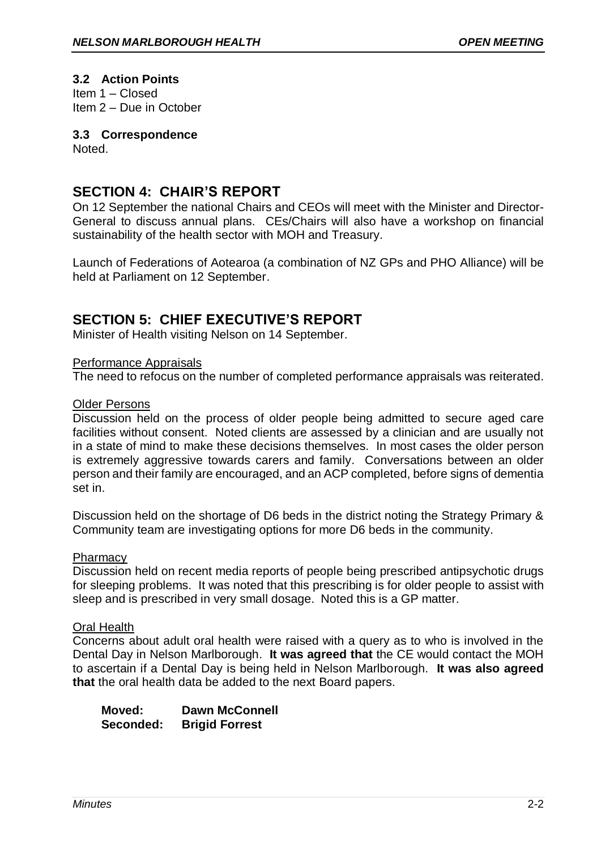## **3.2 Action Points**

Item 1 – Closed Item 2 – Due in October

### **3.3 Correspondence**

Noted.

## **SECTION 4: CHAIR'S REPORT**

On 12 September the national Chairs and CEOs will meet with the Minister and Director-General to discuss annual plans. CEs/Chairs will also have a workshop on financial sustainability of the health sector with MOH and Treasury.

Launch of Federations of Aotearoa (a combination of NZ GPs and PHO Alliance) will be held at Parliament on 12 September.

## **SECTION 5: CHIEF EXECUTIVE'S REPORT**

Minister of Health visiting Nelson on 14 September.

#### Performance Appraisals

The need to refocus on the number of completed performance appraisals was reiterated.

#### Older Persons

Discussion held on the process of older people being admitted to secure aged care facilities without consent. Noted clients are assessed by a clinician and are usually not in a state of mind to make these decisions themselves. In most cases the older person is extremely aggressive towards carers and family. Conversations between an older person and their family are encouraged, and an ACP completed, before signs of dementia set in.

Discussion held on the shortage of D6 beds in the district noting the Strategy Primary & Community team are investigating options for more D6 beds in the community.

### **Pharmacy**

Discussion held on recent media reports of people being prescribed antipsychotic drugs for sleeping problems. It was noted that this prescribing is for older people to assist with sleep and is prescribed in very small dosage. Noted this is a GP matter.

#### Oral Health

Concerns about adult oral health were raised with a query as to who is involved in the Dental Day in Nelson Marlborough. **It was agreed that** the CE would contact the MOH to ascertain if a Dental Day is being held in Nelson Marlborough. **It was also agreed that** the oral health data be added to the next Board papers.

**Moved: Dawn McConnell Seconded: Brigid Forrest**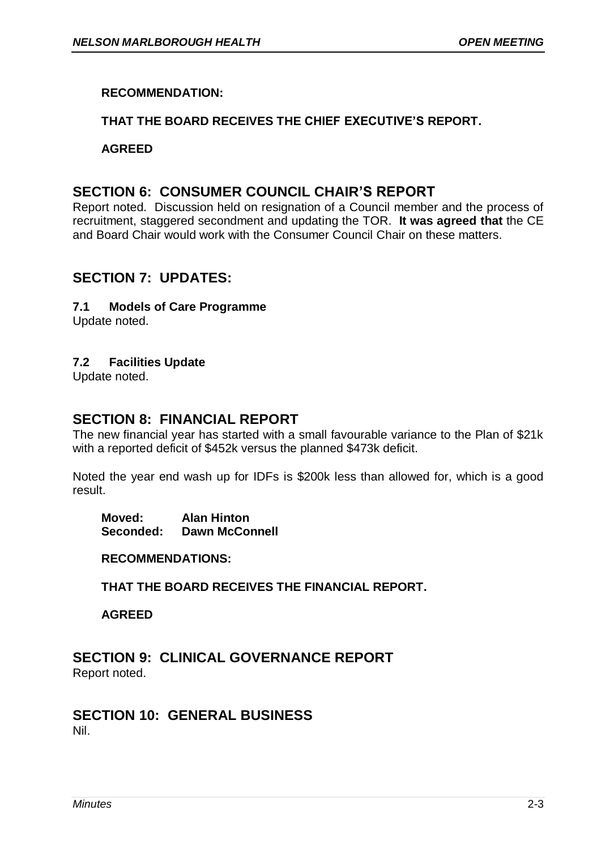## **RECOMMENDATION:**

## **THAT THE BOARD RECEIVES THE CHIEF EXECUTIVE'S REPORT.**

### **AGREED**

## **SECTION 6: CONSUMER COUNCIL CHAIR'S REPORT**

Report noted. Discussion held on resignation of a Council member and the process of recruitment, staggered secondment and updating the TOR. **It was agreed that** the CE and Board Chair would work with the Consumer Council Chair on these matters.

## **SECTION 7: UPDATES:**

### **7.1 Models of Care Programme**

Update noted.

### **7.2 Facilities Update**

Update noted.

## **SECTION 8: FINANCIAL REPORT**

The new financial year has started with a small favourable variance to the Plan of \$21k with a reported deficit of \$452k versus the planned \$473k deficit.

Noted the year end wash up for IDFs is \$200k less than allowed for, which is a good result.

**Moved: Alan Hinton Seconded: Dawn McConnell**

**RECOMMENDATIONS:**

**THAT THE BOARD RECEIVES THE FINANCIAL REPORT.**

**AGREED**

# **SECTION 9: CLINICAL GOVERNANCE REPORT**

Report noted.

#### **SECTION 10: GENERAL BUSINESS** Nil.